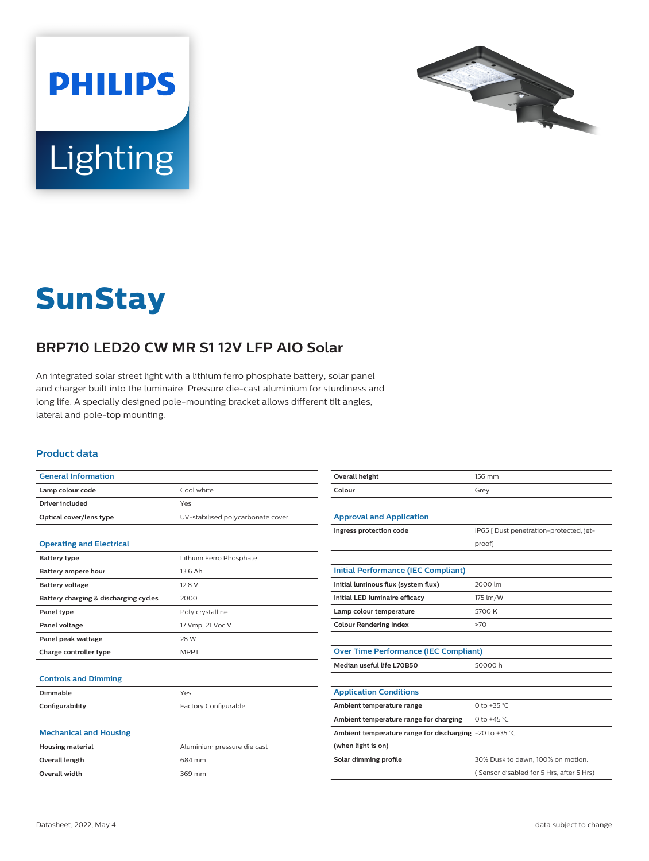



# **SunStay**

## **BRP710 LED20 CW MR S1 12V LFP AIO Solar**

An integrated solar street light with a lithium ferro phosphate battery, solar panel and charger built into the luminaire. Pressure die-cast aluminium for sturdiness and long life. A specially designed pole-mounting bracket allows different tilt angles, lateral and pole-top mounting.

#### **Product data**

| <b>General Information</b>            |                                   | Overall height                                          | 156 mm                                   |
|---------------------------------------|-----------------------------------|---------------------------------------------------------|------------------------------------------|
| Lamp colour code                      | Cool white                        | Colour                                                  | Grey                                     |
| <b>Driver included</b>                | Yes                               |                                                         |                                          |
| Optical cover/lens type               | UV-stabilised polycarbonate cover | <b>Approval and Application</b>                         |                                          |
|                                       |                                   | Ingress protection code                                 | IP65   Dust penetration-protected, jet-  |
| <b>Operating and Electrical</b>       |                                   |                                                         | proof]                                   |
| <b>Battery type</b>                   | Lithium Ferro Phosphate           |                                                         |                                          |
| Battery ampere hour                   | 13.6 Ah                           | <b>Initial Performance (IEC Compliant)</b>              |                                          |
| <b>Battery voltage</b>                | 12.8 V                            | Initial luminous flux (system flux)                     | 2000 lm                                  |
| Battery charging & discharging cycles | 2000                              | Initial LED luminaire efficacy                          | 175 lm/W                                 |
| Panel type                            | Poly crystalline                  | Lamp colour temperature                                 | 5700 K                                   |
| Panel voltage                         | 17 Vmp, 21 Voc V                  | <b>Colour Rendering Index</b>                           | >70                                      |
| Panel peak wattage                    | 28 W                              |                                                         |                                          |
| Charge controller type                | <b>MPPT</b>                       | <b>Over Time Performance (IEC Compliant)</b>            |                                          |
|                                       |                                   | Median useful life L70B50                               | 50000h                                   |
| <b>Controls and Dimming</b>           |                                   |                                                         |                                          |
| <b>Dimmable</b>                       | Yes                               | <b>Application Conditions</b>                           |                                          |
| Configurability                       | Factory Configurable              | Ambient temperature range                               | 0 to +35 $°C$                            |
|                                       |                                   | Ambient temperature range for charging                  | 0 to $+45$ °C                            |
| <b>Mechanical and Housing</b>         |                                   | Ambient temperature range for discharging -20 to +35 °C |                                          |
| <b>Housing material</b>               | Aluminium pressure die cast       | (when light is on)                                      |                                          |
| Overall length                        | 684 mm                            | Solar dimming profile                                   | 30% Dusk to dawn, 100% on motion.        |
| Overall width                         | 369 mm                            |                                                         | (Sensor disabled for 5 Hrs, after 5 Hrs) |
|                                       |                                   |                                                         |                                          |